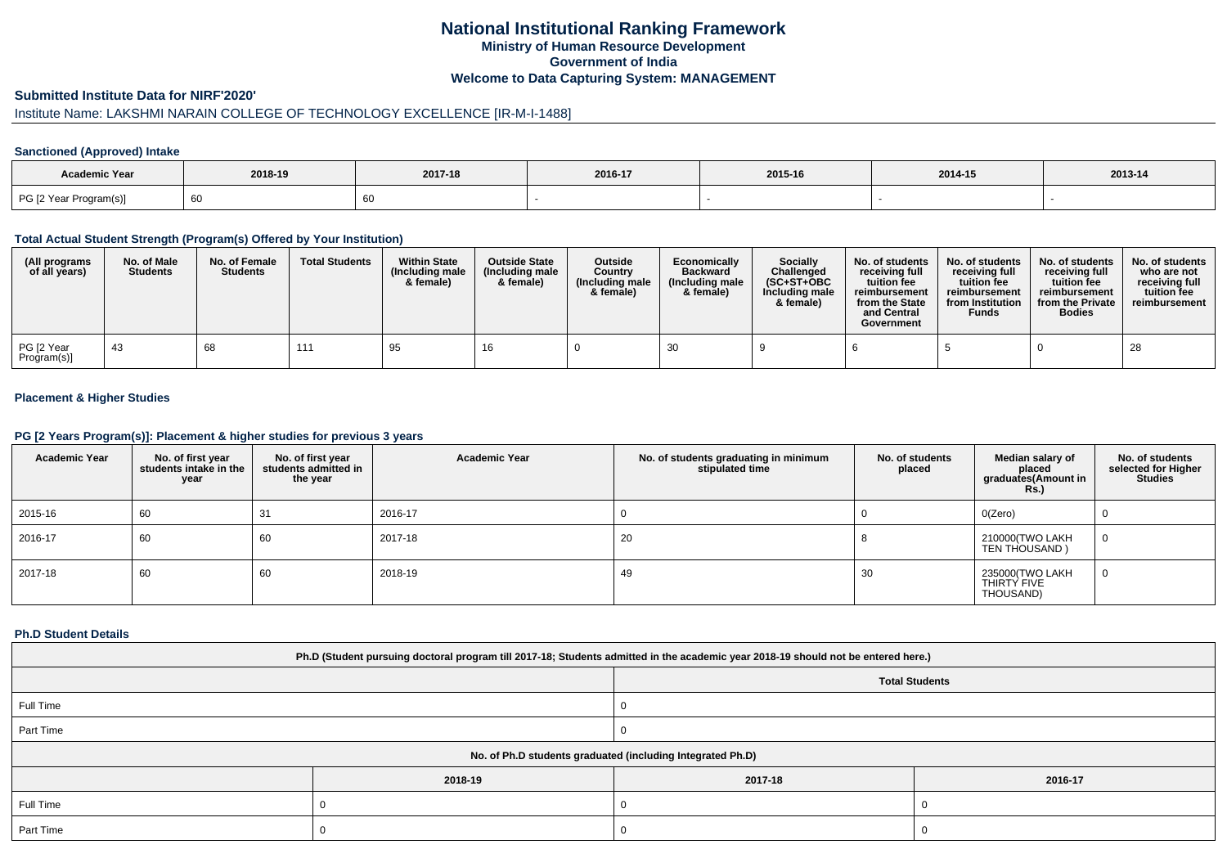# **National Institutional Ranking FrameworkMinistry of Human Resource DevelopmentGovernment of IndiaWelcome to Data Capturing System: MANAGEMENT**

## **Submitted Institute Data for NIRF'2020'**

# Institute Name: LAKSHMI NARAIN COLLEGE OF TECHNOLOGY EXCELLENCE [IR-M-I-1488]

## **Sanctioned (Approved) Intake**

| Academic Year          |         |         |         |         |         |         |
|------------------------|---------|---------|---------|---------|---------|---------|
|                        | 2018-19 | 2017-18 | 2016-17 | 2015-16 | 2014-15 | 2013-14 |
| PG [2 Year Program(s)] | 60      |         |         |         |         |         |

#### **Total Actual Student Strength (Program(s) Offered by Your Institution)**

| (All programs<br>of all years) | No. of Male<br><b>Students</b> | No. of Female<br><b>Students</b> | <b>Total Students</b> | <b>Within State</b><br>(Including male<br>& female) | <b>Outside State</b><br>(Including male<br>& female) | Outside<br>Country<br>(Including male<br>& female) | Economically<br><b>Backward</b><br>(Including male<br>& female) | Socially<br>Challenged<br>$(SC+ST+OBC$<br>Including male<br>& female) | No. of students<br>receiving full<br>tuition fee<br>reimbursement<br>from the State<br>and Central<br>Government | No. of students<br>receiving full<br>tuition fee<br>reimbursement<br>from Institution<br><b>Funds</b> | No. of students<br>receiving full<br>tuition fee<br>reimbursement<br>from the Private<br><b>Bodies</b> | No. of students<br>who are not<br>receiving full<br>tuition fee<br>reimbursement |
|--------------------------------|--------------------------------|----------------------------------|-----------------------|-----------------------------------------------------|------------------------------------------------------|----------------------------------------------------|-----------------------------------------------------------------|-----------------------------------------------------------------------|------------------------------------------------------------------------------------------------------------------|-------------------------------------------------------------------------------------------------------|--------------------------------------------------------------------------------------------------------|----------------------------------------------------------------------------------|
| PG [2 Year<br>Program(s)]      | -43                            | 68                               | 111                   | 95                                                  | 16                                                   |                                                    |                                                                 |                                                                       |                                                                                                                  |                                                                                                       |                                                                                                        | 28                                                                               |

## **Placement & Higher Studies**

#### **PG [2 Years Program(s)]: Placement & higher studies for previous 3 years**

| <b>Academic Year</b> | No. of first year<br>students intake in the<br>year | No. of first year<br>students admitted in<br>the year | <b>Academic Year</b> | No. of students graduating in minimum<br>stipulated time | No. of students<br>placed | Median salary of<br>placed<br>graduates(Amount in<br><b>Rs.)</b> | No. of students<br>selected for Higher<br><b>Studies</b> |
|----------------------|-----------------------------------------------------|-------------------------------------------------------|----------------------|----------------------------------------------------------|---------------------------|------------------------------------------------------------------|----------------------------------------------------------|
| 2015-16              | 60                                                  | 31                                                    | 2016-17              |                                                          |                           | O(Zero)                                                          | υ                                                        |
| 2016-17              | 60                                                  | 60                                                    | 2017-18              | 20                                                       |                           | 210000(TWO LAKH<br>TEN THOUSAND)                                 | 0                                                        |
| 2017-18              | 60                                                  | 60                                                    | 2018-19              | 49                                                       | 30                        | 235000(TWO LAKH<br>THIRTY FIVE<br>THOUSAND)                      | 0                                                        |

## **Ph.D Student Details**

| Ph.D (Student pursuing doctoral program till 2017-18; Students admitted in the academic year 2018-19 should not be entered here.) |         |                       |         |  |
|-----------------------------------------------------------------------------------------------------------------------------------|---------|-----------------------|---------|--|
|                                                                                                                                   |         | <b>Total Students</b> |         |  |
| Full Time                                                                                                                         |         |                       |         |  |
| Part Time                                                                                                                         |         |                       |         |  |
| No. of Ph.D students graduated (including Integrated Ph.D)                                                                        |         |                       |         |  |
|                                                                                                                                   | 2018-19 | 2017-18               | 2016-17 |  |
| Full Time                                                                                                                         |         |                       |         |  |
| Part Time                                                                                                                         |         | J.                    |         |  |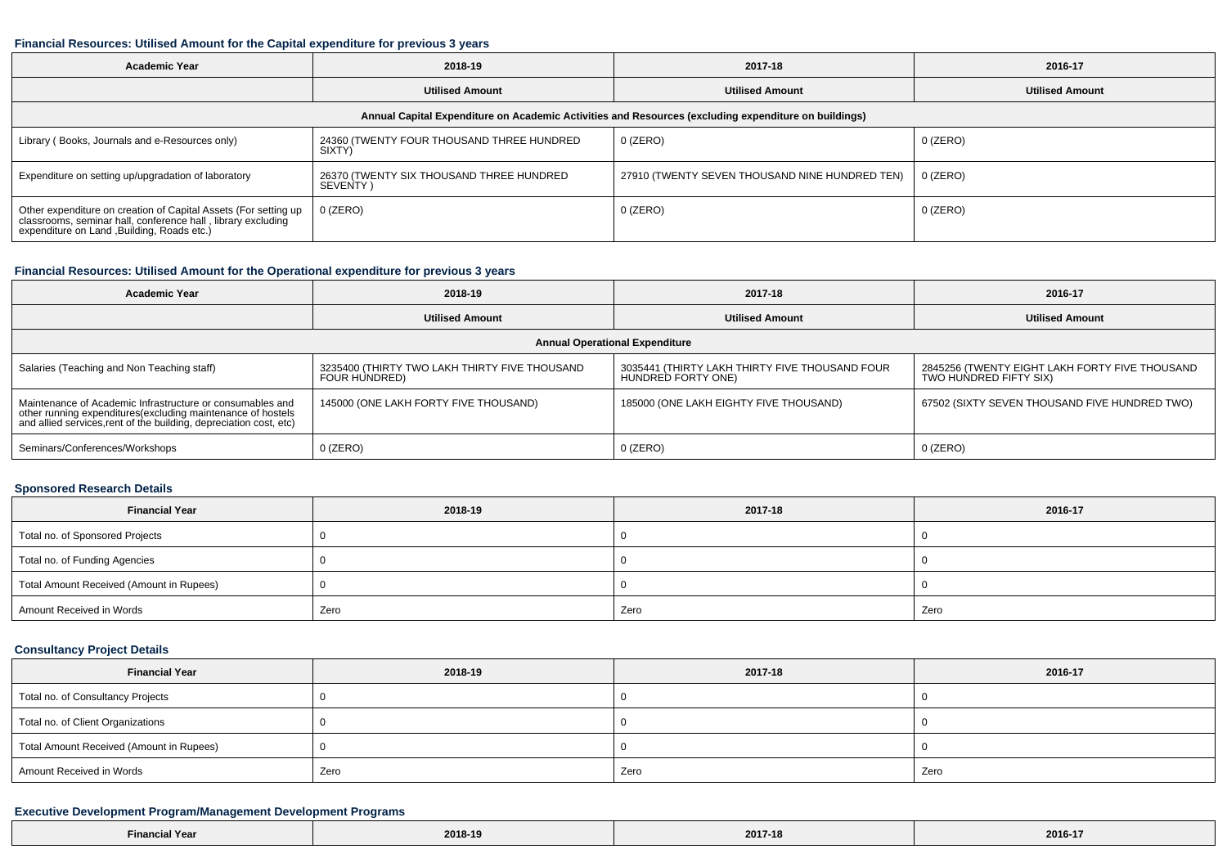#### **Financial Resources: Utilised Amount for the Capital expenditure for previous 3 years**

| <b>Academic Year</b>                                                                                                                                                           | 2018-19                                              | 2017-18                                        | 2016-17                |  |  |
|--------------------------------------------------------------------------------------------------------------------------------------------------------------------------------|------------------------------------------------------|------------------------------------------------|------------------------|--|--|
|                                                                                                                                                                                | <b>Utilised Amount</b>                               | <b>Utilised Amount</b>                         | <b>Utilised Amount</b> |  |  |
| Annual Capital Expenditure on Academic Activities and Resources (excluding expenditure on buildings)                                                                           |                                                      |                                                |                        |  |  |
| Library (Books, Journals and e-Resources only)                                                                                                                                 | 24360 (TWENTY FOUR THOUSAND THREE HUNDRED<br>SIXTY)  | 0 (ZERO)                                       | 0 (ZERO)               |  |  |
| Expenditure on setting up/upgradation of laboratory                                                                                                                            | 26370 (TWENTY SIX THOUSAND THREE HUNDRED<br>SEVENTY) | 27910 (TWENTY SEVEN THOUSAND NINE HUNDRED TEN) | 0 (ZERO)               |  |  |
| Other expenditure on creation of Capital Assets (For setting up<br>classrooms, seminar hall, conference hall, library excluding<br>expenditure on Land , Building, Roads etc.) | $0$ (ZERO)                                           | 0 (ZERO)                                       | 0 (ZERO)               |  |  |

#### **Financial Resources: Utilised Amount for the Operational expenditure for previous 3 years**

| <b>Academic Year</b>                                                                                                                                                                           | 2018-19                                                        | 2017-18                                                              | 2016-17                                                                  |  |  |
|------------------------------------------------------------------------------------------------------------------------------------------------------------------------------------------------|----------------------------------------------------------------|----------------------------------------------------------------------|--------------------------------------------------------------------------|--|--|
|                                                                                                                                                                                                | <b>Utilised Amount</b>                                         | <b>Utilised Amount</b>                                               | <b>Utilised Amount</b>                                                   |  |  |
| <b>Annual Operational Expenditure</b>                                                                                                                                                          |                                                                |                                                                      |                                                                          |  |  |
| Salaries (Teaching and Non Teaching staff)                                                                                                                                                     | 3235400 (THIRTY TWO LAKH THIRTY FIVE THOUSAND<br>FOUR HUNDRED) | 3035441 (THIRTY LAKH THIRTY FIVE THOUSAND FOUR<br>HUNDRED FORTY ONE) | 2845256 (TWENTY EIGHT LAKH FORTY FIVE THOUSAND<br>TWO HUNDRED FIFTY SIX) |  |  |
| Maintenance of Academic Infrastructure or consumables and<br>other running expenditures(excluding maintenance of hostels<br>and allied services, rent of the building, depreciation cost, etc) | 145000 (ONE LAKH FORTY FIVE THOUSAND)                          | 185000 (ONE LAKH EIGHTY FIVE THOUSAND)                               | 67502 (SIXTY SEVEN THOUSAND FIVE HUNDRED TWO)                            |  |  |
| Seminars/Conferences/Workshops                                                                                                                                                                 | $0$ (ZERO)                                                     | $0$ (ZERO)                                                           | $0$ (ZERO)                                                               |  |  |

### **Sponsored Research Details**

| <b>Financial Year</b>                    | 2018-19 | 2017-18 | 2016-17 |
|------------------------------------------|---------|---------|---------|
| Total no. of Sponsored Projects          |         |         |         |
| Total no. of Funding Agencies            |         |         |         |
| Total Amount Received (Amount in Rupees) |         |         |         |
| Amount Received in Words                 | Zero    | Zero    | Zero    |

## **Consultancy Project Details**

| <b>Financial Year</b>                    | 2018-19 | 2017-18 | 2016-17 |
|------------------------------------------|---------|---------|---------|
| Total no. of Consultancy Projects        |         |         |         |
| Total no. of Client Organizations        |         |         |         |
| Total Amount Received (Amount in Rupees) |         |         |         |
| Amount Received in Words                 | Zero    | Zero    | Zero    |

## **Executive Development Program/Management Development Programs**

| inancial Year <del>-</del> |         | 2017-18 | 0.01017 |
|----------------------------|---------|---------|---------|
|                            | 2018-19 |         | 2016-17 |